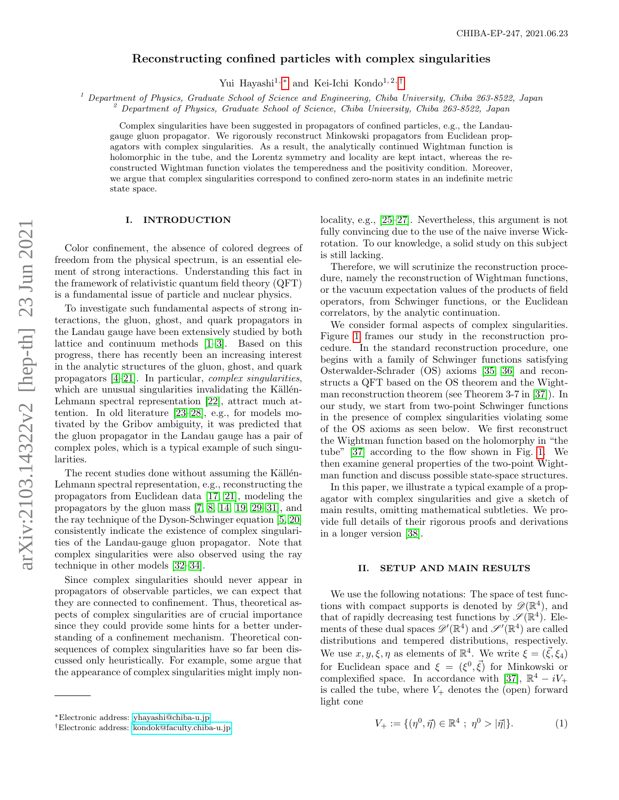# Reconstructing confined particles with complex singularities

Yui Hayashi<sup>1,[∗](#page-0-0)</sup> and Kei-Ichi Kondo<sup>1,2,[†](#page-0-1)</sup>

<sup>1</sup> Department of Physics, Graduate School of Science and Engineering, Chiba University, Chiba 263-8522, Japan

<sup>2</sup> Department of Physics, Graduate School of Science, Chiba University, Chiba 263-8522, Japan

Complex singularities have been suggested in propagators of confined particles, e.g., the Landaugauge gluon propagator. We rigorously reconstruct Minkowski propagators from Euclidean propagators with complex singularities. As a result, the analytically continued Wightman function is holomorphic in the tube, and the Lorentz symmetry and locality are kept intact, whereas the reconstructed Wightman function violates the temperedness and the positivity condition. Moreover, we argue that complex singularities correspond to confined zero-norm states in an indefinite metric state space.

## I. INTRODUCTION

Color confinement, the absence of colored degrees of freedom from the physical spectrum, is an essential element of strong interactions. Understanding this fact in the framework of relativistic quantum field theory (QFT) is a fundamental issue of particle and nuclear physics.

To investigate such fundamental aspects of strong interactions, the gluon, ghost, and quark propagators in the Landau gauge have been extensively studied by both lattice and continuum methods [\[1](#page-5-0)[–3\]](#page-5-1). Based on this progress, there has recently been an increasing interest in the analytic structures of the gluon, ghost, and quark propagators [\[4](#page-5-2)[–21\]](#page-5-3). In particular, complex singularities, which are unusual singularities invalidating the Källén-Lehmann spectral representation [\[22\]](#page-5-4), attract much attention. In old literature [\[23–](#page-5-5)[28\]](#page-5-6), e.g., for models motivated by the Gribov ambiguity, it was predicted that the gluon propagator in the Landau gauge has a pair of complex poles, which is a typical example of such singularities.

The recent studies done without assuming the Källén-Lehmann spectral representation, e.g., reconstructing the propagators from Euclidean data [\[17,](#page-5-7) [21\]](#page-5-3), modeling the propagators by the gluon mass [\[7,](#page-5-8) [8,](#page-5-9) [14,](#page-5-10) [19,](#page-5-11) [29–](#page-6-0)[31\]](#page-6-1), and the ray technique of the Dyson-Schwinger equation [\[5,](#page-5-12) [20\]](#page-5-13) consistently indicate the existence of complex singularities of the Landau-gauge gluon propagator. Note that complex singularities were also observed using the ray technique in other models [\[32–](#page-6-2)[34\]](#page-6-3).

Since complex singularities should never appear in propagators of observable particles, we can expect that they are connected to confinement. Thus, theoretical aspects of complex singularities are of crucial importance since they could provide some hints for a better understanding of a confinement mechanism. Theoretical consequences of complex singularities have so far been discussed only heuristically. For example, some argue that the appearance of complex singularities might imply nonlocality, e.g., [\[25–](#page-5-14)[27\]](#page-5-15). Nevertheless, this argument is not fully convincing due to the use of the naive inverse Wickrotation. To our knowledge, a solid study on this subject is still lacking.

Therefore, we will scrutinize the reconstruction procedure, namely the reconstruction of Wightman functions, or the vacuum expectation values of the products of field operators, from Schwinger functions, or the Euclidean correlators, by the analytic continuation.

We consider formal aspects of complex singularities. Figure [1](#page-1-0) frames our study in the reconstruction procedure. In the standard reconstruction procedure, one begins with a family of Schwinger functions satisfying Osterwalder-Schrader (OS) axioms [\[35,](#page-6-4) [36\]](#page-6-5) and reconstructs a QFT based on the OS theorem and the Wightman reconstruction theorem (see Theorem 3-7 in [\[37\]](#page-6-6)). In our study, we start from two-point Schwinger functions in the presence of complex singularities violating some of the OS axioms as seen below. We first reconstruct the Wightman function based on the holomorphy in "the tube" [\[37\]](#page-6-6) according to the flow shown in Fig. [1.](#page-1-0) We then examine general properties of the two-point Wightman function and discuss possible state-space structures.

In this paper, we illustrate a typical example of a propagator with complex singularities and give a sketch of main results, omitting mathematical subtleties. We provide full details of their rigorous proofs and derivations in a longer version [\[38\]](#page-6-7).

### II. SETUP AND MAIN RESULTS

We use the following notations: The space of test functions with compact supports is denoted by  $\mathscr{D}(\mathbb{R}^4)$ , and that of rapidly decreasing test functions by  $\mathscr{S}(\mathbb{R}^4)$ . Elements of these dual spaces  $\mathscr{D}'(\mathbb{R}^4)$  and  $\mathscr{S}'(\mathbb{R}^4)$  are called distributions and tempered distributions, respectively. We use  $x, y, \xi, \eta$  as elements of  $\mathbb{R}^4$ . We write  $\xi = (\vec{\xi}, \xi_4)$ for Euclidean space and  $\xi = (\xi^0, \vec{\xi})$  for Minkowski or complexified space. In accordance with [\[37\]](#page-6-6),  $\mathbb{R}^4 - iV_+$ is called the tube, where  $V_+$  denotes the (open) forward light cone

$$
V_{+} := \{ (\eta^{0}, \vec{\eta}) \in \mathbb{R}^{4} ; \eta^{0} > |\vec{\eta}| \}. \tag{1}
$$

<span id="page-0-0"></span><sup>∗</sup>Electronic address: [yhayashi@chiba-u.jp](mailto:yhayashi@chiba-u.jp)

<span id="page-0-1"></span><sup>†</sup>Electronic address: [kondok@faculty.chiba-u.jp](mailto:kondok@faculty.chiba-u.jp)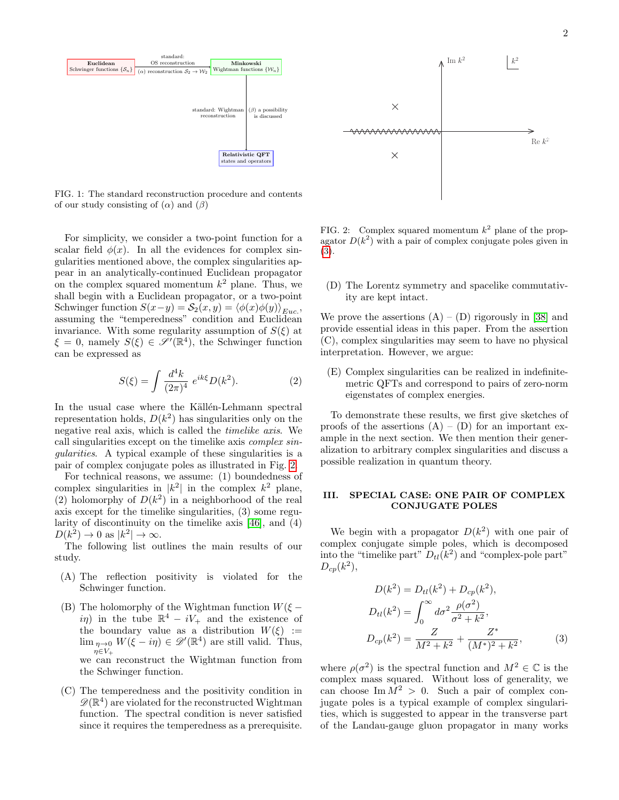

<span id="page-1-0"></span>FIG. 1: The standard reconstruction procedure and contents of our study consisting of  $(\alpha)$  and  $(\beta)$ 

For simplicity, we consider a two-point function for a scalar field  $\phi(x)$ . In all the evidences for complex singularities mentioned above, the complex singularities appear in an analytically-continued Euclidean propagator on the complex squared momentum  $k^2$  plane. Thus, we shall begin with a Euclidean propagator, or a two-point Schwinger function  $S(x-y) = S_2(x, y) = \langle \phi(x)\phi(y) \rangle_{Euc}$ , assuming the "temperedness" condition and Euclidean invariance. With some regularity assumption of  $S(\xi)$  at  $\xi = 0$ , namely  $S(\xi) \in \mathscr{S}'(\mathbb{R}^4)$ , the Schwinger function can be expressed as

$$
S(\xi) = \int \frac{d^4k}{(2\pi)^4} e^{ik\xi} D(k^2).
$$
 (2)

In the usual case where the Källén-Lehmann spectral representation holds,  $D(k^2)$  has singularities only on the negative real axis, which is called the timelike axis. We call singularities except on the timelike axis *complex sin*gularities. A typical example of these singularities is a pair of complex conjugate poles as illustrated in Fig. [2.](#page-1-1)

For technical reasons, we assume: (1) boundedness of complex singularities in  $|k^2|$  in the complex  $k^2$  plane, (2) holomorphy of  $D(k^2)$  in a neighborhood of the real axis except for the timelike singularities, (3) some regularity of discontinuity on the timelike axis [\[46\]](#page-6-8), and (4)  $D(k^2) \to 0$  as  $|k^2| \to \infty$ .

The following list outlines the main results of our study.

- (A) The reflection positivity is violated for the Schwinger function.
- (B) The holomorphy of the Wightman function  $W(\xi$ in in the tube  $\mathbb{R}^4 - iV_+$  and the existence of the boundary value as a distribution  $W(\xi) :=$  $\lim_{\eta \to 0} W(\xi - i\eta) \in \mathscr{D}'(\mathbb{R}^4)$  are still valid. Thus,  $\eta{\in}V_{+}$ we can reconstruct the Wightman function from the Schwinger function.
- (C) The temperedness and the positivity condition in  $\mathscr{D}(\mathbb{R}^4)$  are violated for the reconstructed Wightman function. The spectral condition is never satisfied since it requires the temperedness as a prerequisite.



<span id="page-1-1"></span>FIG. 2: Complex squared momentum  $k^2$  plane of the propagator  $D(k^2)$  with a pair of complex conjugate poles given in [\(3\)](#page-1-2).

(D) The Lorentz symmetry and spacelike commutativity are kept intact.

We prove the assertions  $(A) - (D)$  rigorously in [\[38\]](#page-6-7) and provide essential ideas in this paper. From the assertion (C), complex singularities may seem to have no physical interpretation. However, we argue:

(E) Complex singularities can be realized in indefinitemetric QFTs and correspond to pairs of zero-norm eigenstates of complex energies.

To demonstrate these results, we first give sketches of proofs of the assertions  $(A) - (D)$  for an important example in the next section. We then mention their generalization to arbitrary complex singularities and discuss a possible realization in quantum theory.

## III. SPECIAL CASE: ONE PAIR OF COMPLEX CONJUGATE POLES

We begin with a propagator  $D(k^2)$  with one pair of complex conjugate simple poles, which is decomposed into the "timelike part"  $D_{tl}(k^2)$  and "complex-pole part"  $D_{cp}(k^2),$ 

<span id="page-1-2"></span>
$$
D(k^{2}) = D_{tl}(k^{2}) + D_{cp}(k^{2}),
$$
  
\n
$$
D_{tl}(k^{2}) = \int_{0}^{\infty} d\sigma^{2} \frac{\rho(\sigma^{2})}{\sigma^{2} + k^{2}},
$$
  
\n
$$
D_{cp}(k^{2}) = \frac{Z}{M^{2} + k^{2}} + \frac{Z^{*}}{(M^{*})^{2} + k^{2}},
$$
\n(3)

where  $\rho(\sigma^2)$  is the spectral function and  $M^2 \in \mathbb{C}$  is the complex mass squared. Without loss of generality, we can choose Im  $M^2 > 0$ . Such a pair of complex conjugate poles is a typical example of complex singularities, which is suggested to appear in the transverse part of the Landau-gauge gluon propagator in many works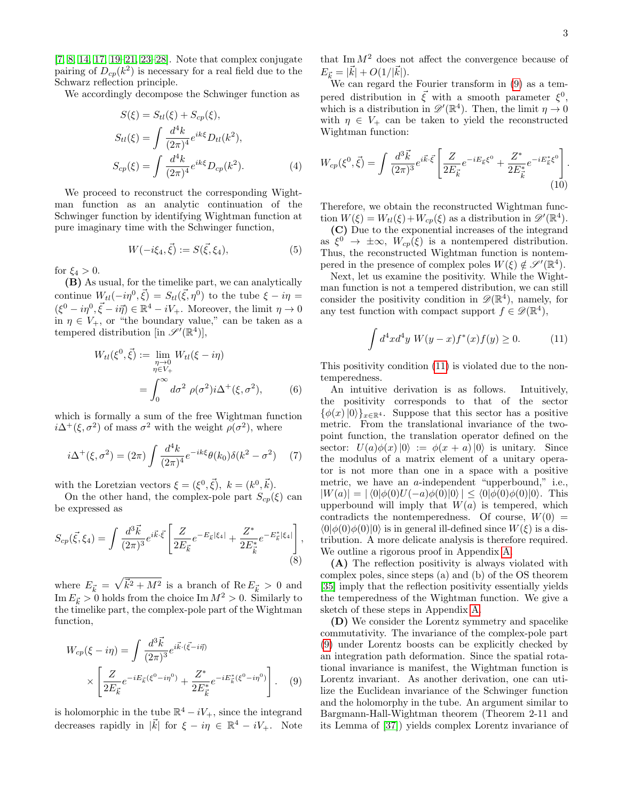[\[7,](#page-5-8) [8,](#page-5-9) [14,](#page-5-10) [17,](#page-5-7) [19–](#page-5-11)[21,](#page-5-3) [23](#page-5-5)[–28\]](#page-5-6). Note that complex conjugate pairing of  $D_{cp}(k^2)$  is necessary for a real field due to the Schwarz reflection principle.

We accordingly decompose the Schwinger function as

$$
S(\xi) = S_{tl}(\xi) + S_{cp}(\xi),
$$
  
\n
$$
S_{tl}(\xi) = \int \frac{d^4k}{(2\pi)^4} e^{ik\xi} D_{tl}(k^2),
$$
  
\n
$$
S_{cp}(\xi) = \int \frac{d^4k}{(2\pi)^4} e^{ik\xi} D_{cp}(k^2).
$$
 (4)

We proceed to reconstruct the corresponding Wightman function as an analytic continuation of the Schwinger function by identifying Wightman function at pure imaginary time with the Schwinger function,

$$
W(-i\xi_4, \vec{\xi}) := S(\vec{\xi}, \xi_4), \tag{5}
$$

for  $\xi_4 > 0$ .

(B) As usual, for the timelike part, we can analytically continue  $W_{tl}(-i\eta^0, \vec{\xi}) = S_{tl}(\vec{\xi}, \eta^0)$  to the tube  $\xi - i\eta =$  $(\xi^0 - i\eta^0, \vec{\xi} - i\vec{\eta}) \in \mathbb{R}^4 - iV_+$ . Moreover, the limit  $\eta \to 0$ in  $\eta \in V_+$ , or "the boundary value," can be taken as a tempered distribution [in  $\mathscr{S}'(\mathbb{R}^4)$ ],

$$
W_{tl}(\xi^0, \vec{\xi}) := \lim_{\substack{\eta \to 0 \\ \eta \in V_+}} W_{tl}(\xi - i\eta)
$$
  
= 
$$
\int_0^\infty d\sigma^2 \rho(\sigma^2) i\Delta^+(\xi, \sigma^2), \qquad (6)
$$

which is formally a sum of the free Wightman function  $i\Delta^+(\xi, \sigma^2)$  of mass  $\sigma^2$  with the weight  $\rho(\sigma^2)$ , where

$$
i\Delta^{+}(\xi,\sigma^{2}) = (2\pi) \int \frac{d^{4}k}{(2\pi)^{4}} e^{-ik\xi} \theta(k_{0}) \delta(k^{2} - \sigma^{2}) \tag{7}
$$

with the Loretzian vectors  $\xi = (\xi^0, \vec{\xi}), k = (k^0, \vec{k}).$ 

On the other hand, the complex-pole part  $S_{cp}(\xi)$  can be expressed as

$$
S_{cp}(\vec{\xi}, \xi_4) = \int \frac{d^3 \vec{k}}{(2\pi)^3} e^{i\vec{k}\cdot\vec{\xi}} \left[ \frac{Z}{2E_{\vec{k}}} e^{-E_{\vec{k}}|\xi_4|} + \frac{Z^*}{2E_{\vec{k}}^*} e^{-E_{\vec{k}}^*|\xi_4|} \right],
$$
\n(8)

where  $E_{\vec{k}} = \sqrt{\vec{k}^2 + M^2}$  is a branch of  $\text{Re } E_{\vec{k}} > 0$  and Im  $E_{\vec{k}} > 0$  holds from the choice Im  $M^2 > 0$ . Similarly to the timelike part, the complex-pole part of the Wightman function,

$$
W_{cp}(\xi - i\eta) = \int \frac{d^3 \vec{k}}{(2\pi)^3} e^{i\vec{k}\cdot(\vec{\xi} - i\vec{\eta})} \times \left[ \frac{Z}{2E_{\vec{k}}} e^{-iE_{\vec{k}}(\xi^0 - i\eta^0)} + \frac{Z^*}{2E_{\vec{k}}^*} e^{-iE_{\vec{k}}^*(\xi^0 - i\eta^0)} \right].
$$
 (9)

is holomorphic in the tube  $\mathbb{R}^4 - iV_+$ , since the integrand decreases rapidly in  $|\vec{k}|$  for  $\xi - i\eta \in \mathbb{R}^4 - iV_+$ . Note that  $\text{Im } M^2$  does not affect the convergence because of  $E_{\vec{k}} = |\vec{k}| + O(1/|\vec{k}|).$ 

We can regard the Fourier transform in  $(9)$  as a tempered distribution in  $\vec{\xi}$  with a smooth parameter  $\xi^0$ , which is a distribution in  $\mathscr{D}'(\mathbb{R}^4)$ . Then, the limit  $\eta \to 0$ with  $\eta \in V_+$  can be taken to yield the reconstructed Wightman function:

<span id="page-2-2"></span>
$$
W_{cp}(\xi^0, \vec{\xi}) = \int \frac{d^3 \vec{k}}{(2\pi)^3} e^{i\vec{k}\cdot\vec{\xi}} \left[ \frac{Z}{2E_{\vec{k}}} e^{-iE_{\vec{k}}\xi^0} + \frac{Z^*}{2E_{\vec{k}}^*} e^{-iE_{\vec{k}}^*\xi^0} \right].
$$
\n(10)

Therefore, we obtain the reconstructed Wightman function  $W(\xi) = W_{tl}(\xi) + W_{cp}(\xi)$  as a distribution in  $\mathscr{D}'(\mathbb{R}^4)$ .

(C) Due to the exponential increases of the integrand as  $\xi^{0} \rightarrow \pm \infty$ ,  $W_{cp}(\xi)$  is a nontempered distribution. Thus, the reconstructed Wightman function is nontempered in the presence of complex poles  $W(\xi) \notin \mathscr{S}'(\mathbb{R}^4)$ .

Next, let us examine the positivity. While the Wightman function is not a tempered distribution, we can still consider the positivity condition in  $\mathscr{D}(\mathbb{R}^4)$ , namely, for any test function with compact support  $f \in \mathscr{D}(\mathbb{R}^4)$ ,

<span id="page-2-1"></span>
$$
\int d^4x d^4y \ W(y-x) f^*(x) f(y) \ge 0.
$$
 (11)

This positivity condition [\(11\)](#page-2-1) is violated due to the nontemperedness.

An intuitive derivation is as follows. Intuitively, the positivity corresponds to that of the sector  $\{\phi(x)|0\rangle\}_{x\in\mathbb{R}^4}$ . Suppose that this sector has a positive metric. From the translational invariance of the twopoint function, the translation operator defined on the sector:  $U(a)\phi(x)|0\rangle := \phi(x+a)|0\rangle$  is unitary. Since the modulus of a matrix element of a unitary operator is not more than one in a space with a positive metric, we have an a-independent "upperbound," i.e.,  $|W(a)| = |\langle 0|\phi(0)U(-a)\phi(0)|0\rangle| \le \langle 0|\phi(0)\phi(0)|0\rangle$ . This upperbound will imply that  $W(a)$  is tempered, which contradicts the nontemperedness. Of course,  $W(0)$  =  $\langle 0|\phi(0)\phi(0)|0\rangle$  is in general ill-defined since  $W(\xi)$  is a distribution. A more delicate analysis is therefore required. We outline a rigorous proof in Appendix [A.](#page-4-0)

(A) The reflection positivity is always violated with complex poles, since steps (a) and (b) of the OS theorem [\[35\]](#page-6-4) imply that the reflection positivity essentially yields the temperedness of the Wightman function. We give a sketch of these steps in Appendix [A.](#page-4-0)

<span id="page-2-0"></span>(D) We consider the Lorentz symmetry and spacelike commutativity. The invariance of the complex-pole part [\(9\)](#page-2-0) under Lorentz boosts can be explicitly checked by an integration path deformation. Since the spatial rotational invariance is manifest, the Wightman function is Lorentz invariant. As another derivation, one can utilize the Euclidean invariance of the Schwinger function and the holomorphy in the tube. An argument similar to Bargmann-Hall-Wightman theorem (Theorem 2-11 and its Lemma of [\[37\]](#page-6-6)) yields complex Lorentz invariance of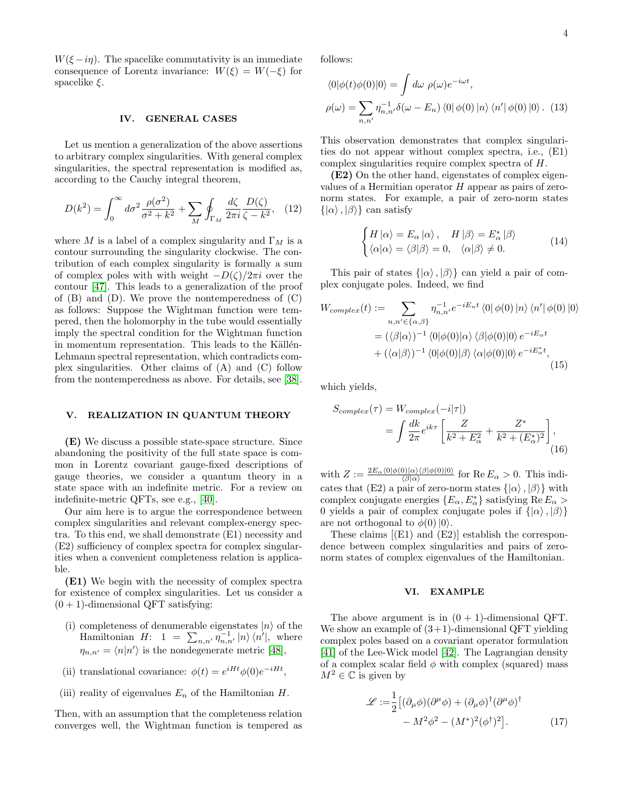$W(\xi - i\eta)$ . The spacelike commutativity is an immediate consequence of Lorentz invariance:  $W(\xi) = W(-\xi)$  for spacelike  $\xi$ .

#### IV. GENERAL CASES

Let us mention a generalization of the above assertions to arbitrary complex singularities. With general complex singularities, the spectral representation is modified as, according to the Cauchy integral theorem,

$$
D(k^2) = \int_0^\infty d\sigma^2 \frac{\rho(\sigma^2)}{\sigma^2 + k^2} + \sum_M \oint_{\Gamma_M} \frac{d\zeta}{2\pi i} \frac{D(\zeta)}{\zeta - k^2}, \quad (12)
$$

where M is a label of a complex singularity and  $\Gamma_M$  is a contour surrounding the singularity clockwise. The contribution of each complex singularity is formally a sum of complex poles with with weight  $-D(\zeta)/2\pi i$  over the contour [\[47\]](#page-6-9). This leads to a generalization of the proof of  $(B)$  and  $(D)$ . We prove the nontemperedness of  $(C)$ as follows: Suppose the Wightman function were tempered, then the holomorphy in the tube would essentially imply the spectral condition for the Wightman function in momentum representation. This leads to the Källén-Lehmann spectral representation, which contradicts complex singularities. Other claims of (A) and (C) follow from the nontemperedness as above. For details, see [\[38\]](#page-6-7).

## V. REALIZATION IN QUANTUM THEORY

(E) We discuss a possible state-space structure. Since abandoning the positivity of the full state space is common in Lorentz covariant gauge-fixed descriptions of gauge theories, we consider a quantum theory in a state space with an indefinite metric. For a review on indefinite-metric QFTs, see e.g., [\[40\]](#page-6-10).

Our aim here is to argue the correspondence between complex singularities and relevant complex-energy spectra. To this end, we shall demonstrate (E1) necessity and (E2) sufficiency of complex spectra for complex singularities when a convenient completeness relation is applicable.

(E1) We begin with the necessity of complex spectra for existence of complex singularities. Let us consider a  $(0 + 1)$ -dimensional QFT satisfying:

- (i) completeness of denumerable eigenstates  $|n\rangle$  of the Hamiltonian  $H: 1 = \sum_{n,n'} \overline{\eta}_{n,n'}^{-1} |n\rangle \langle n'|$ , where  $\eta_{n,n'} = \langle n|n'\rangle$  is the nondegenerate metric [\[48\]](#page-6-11),
- (ii) translational covariance:  $\phi(t) = e^{iHt} \phi(0) e^{-iHt}$ ,
- (iii) reality of eigenvalues  $E_n$  of the Hamiltonian  $H$ .

Then, with an assumption that the completeness relation converges well, the Wightman function is tempered as follows:

$$
\langle 0|\phi(t)\phi(0)|0\rangle = \int d\omega \,\,\rho(\omega)e^{-i\omega t},
$$

$$
\rho(\omega) = \sum_{n,n'} \eta_{n,n'}^{-1} \delta(\omega - E_n) \langle 0|\phi(0)|n\rangle \langle n'|\phi(0)|0\rangle. \tag{13}
$$

This observation demonstrates that complex singularities do not appear without complex spectra, i.e., (E1) complex singularities require complex spectra of H.

(E2) On the other hand, eigenstates of complex eigenvalues of a Hermitian operator  $H$  appear as pairs of zeronorm states. For example, a pair of zero-norm states  $\{|\alpha\rangle, |\beta\rangle\}$  can satisfy

$$
\begin{cases}\nH |\alpha\rangle = E_{\alpha} |\alpha\rangle, & H |\beta\rangle = E_{\alpha}^* |\beta\rangle \\
\langle \alpha |\alpha\rangle = \langle \beta |\beta\rangle = 0, & \langle \alpha |\beta\rangle \neq 0.\n\end{cases}
$$
\n(14)

This pair of states  $\{|\alpha\rangle, |\beta\rangle\}$  can yield a pair of complex conjugate poles. Indeed, we find

$$
W_{complex}(t) := \sum_{n,n' \in \{\alpha,\beta\}} \eta_{n,n'}^{-1} e^{-iE_n t} \langle 0 | \phi(0) | n \rangle \langle n' | \phi(0) | 0 \rangle
$$
  
=  $(\langle \beta | \alpha \rangle)^{-1} \langle 0 | \phi(0) | \alpha \rangle \langle \beta | \phi(0) | 0 \rangle e^{-iE_\alpha t}$   
+  $(\langle \alpha | \beta \rangle)^{-1} \langle 0 | \phi(0) | \beta \rangle \langle \alpha | \phi(0) | 0 \rangle e^{-iE_\alpha^* t},$  (15)

which yields,

$$
S_{complex}(\tau) = W_{complex}(-i|\tau|)
$$
  
= 
$$
\int \frac{dk}{2\pi} e^{ik\tau} \left[ \frac{Z}{k^2 + E_\alpha^2} + \frac{Z^*}{k^2 + (E_\alpha^*)^2} \right],
$$
  
(16)

with  $Z := \frac{2E_{\alpha} \langle 0 | \phi(0) | \alpha \rangle \langle \beta | \phi(0) | 0 \rangle}{\langle \beta | \alpha \rangle}$  for  $\text{Re } E_{\alpha} > 0$ . This indicates that (E2) a pair of zero-norm states  $\{|\alpha\rangle, |\beta\rangle\}$  with complex conjugate energies  $\{E_\alpha, E_\alpha^*\}$  satisfying  $\text{Re } E_\alpha >$ 0 yields a pair of complex conjugate poles if  $\{|\alpha\rangle, |\beta\rangle\}$ are not orthogonal to  $\phi(0)|0\rangle$ .

These claims [(E1) and (E2)] establish the correspondence between complex singularities and pairs of zeronorm states of complex eigenvalues of the Hamiltonian.

#### VI. EXAMPLE

The above argument is in  $(0 + 1)$ -dimensional QFT. We show an example of  $(3+1)$ -dimensional QFT yielding complex poles based on a covariant operator formulation [\[41\]](#page-6-12) of the Lee-Wick model [\[42\]](#page-6-13). The Lagrangian density of a complex scalar field  $\phi$  with complex (squared) mass  $M^2 \in \mathbb{C}$  is given by

$$
\mathcal{L} := \frac{1}{2} \left[ (\partial_{\mu} \phi)(\partial^{\mu} \phi) + (\partial_{\mu} \phi)^{\dagger} (\partial^{\mu} \phi)^{\dagger} - M^{2} \phi^{2} - (M^{*})^{2} (\phi^{\dagger})^{2} \right].
$$
 (17)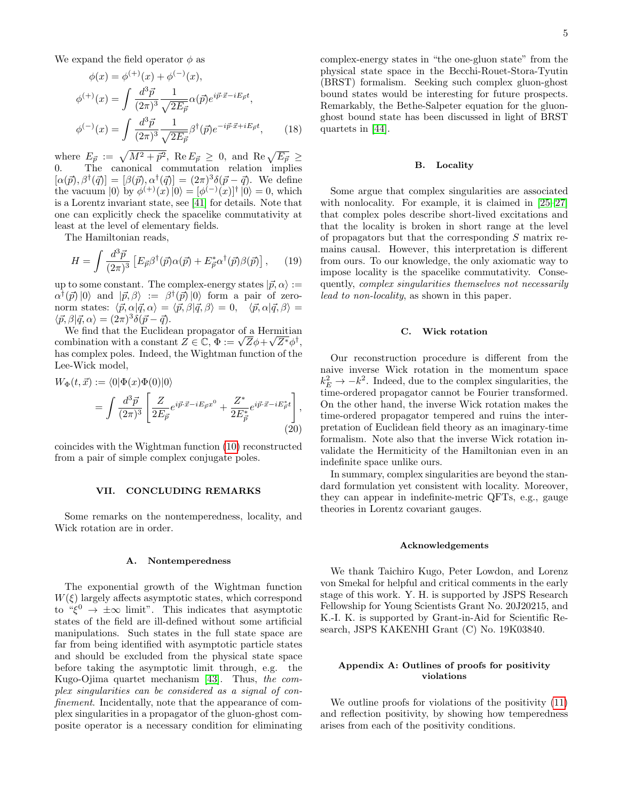We expand the field operator  $\phi$  as

$$
\phi(x) = \phi^{(+)}(x) + \phi^{(-)}(x),
$$
  
\n
$$
\phi^{(+)}(x) = \int \frac{d^3 \vec{p}}{(2\pi)^3} \frac{1}{\sqrt{2E_{\vec{p}}}} \alpha(\vec{p}) e^{i\vec{p}\cdot\vec{x}-iE_{\vec{p}}t},
$$
  
\n
$$
\phi^{(-)}(x) = \int \frac{d^3 \vec{p}}{(2\pi)^3} \frac{1}{\sqrt{2E_{\vec{p}}}} \beta^{\dagger}(\vec{p}) e^{-i\vec{p}\cdot\vec{x}+iE_{\vec{p}}t},
$$
\n(18)

where  $E_{\vec{p}} := \sqrt{M^2 + \vec{p}^2}$ , Re  $E_{\vec{p}} \geq 0$ , and Re  $\sqrt{E_{\vec{p}}} \geq 0$ 0. The canonical commutation relation implies  $[\alpha(\vec{p}), \beta^{\dagger}(\vec{q})] = [\beta(\vec{p}), \alpha^{\dagger}(\vec{q})] = (2\pi)^3 \delta(\vec{p} - \vec{q})$ . We define the vacuum  $|0\rangle$  by  $\phi^{(+)}(x)|0\rangle = [\phi^{(-)}(x)]^{\dagger} |0\rangle = 0$ , which is a Lorentz invariant state, see [\[41\]](#page-6-12) for details. Note that one can explicitly check the spacelike commutativity at least at the level of elementary fields.

The Hamiltonian reads,

$$
H = \int \frac{d^3 \vec{p}}{(2\pi)^3} \left[ E_{\vec{p}} \beta^{\dagger}(\vec{p}) \alpha(\vec{p}) + E_{\vec{p}}^* \alpha^{\dagger}(\vec{p}) \beta(\vec{p}) \right], \qquad (19)
$$

up to some constant. The complex-energy states  $|\vec{p}, \alpha\rangle :=$  $\alpha^{\dagger}(\vec{p})|0\rangle$  and  $|\vec{p},\beta\rangle := \beta^{\dagger}(\vec{p})|0\rangle$  form a pair of zeronorm states:  $\langle \vec{p}, \alpha | \vec{q}, \alpha \rangle = \langle \vec{p}, \beta | \vec{q}, \beta \rangle = 0, \quad \langle \vec{p}, \alpha | \vec{q}, \beta \rangle =$  $\langle \vec{p}, \beta | \vec{q}, \alpha \rangle = (2\pi)^3 \delta(\vec{p} - \vec{q}).$ 

We find that the Euclidean propagator of a Hermitian We find that the Euclidean propagator of a Hermitian<br>combination with a constant  $Z \in \mathbb{C}$ ,  $\Phi := \sqrt{Z} \phi + \sqrt{Z^*} \phi^{\dagger}$ , has complex poles. Indeed, the Wightman function of the Lee-Wick model,

$$
W_{\Phi}(t, \vec{x}) := \langle 0 | \Phi(x) \Phi(0) | 0 \rangle
$$
  
= 
$$
\int \frac{d^3 \vec{p}}{(2\pi)^3} \left[ \frac{Z}{2E_{\vec{p}}} e^{i\vec{p} \cdot \vec{x} - iE_{\vec{p}}x^0} + \frac{Z^*}{2E_{\vec{p}}^*} e^{i\vec{p} \cdot \vec{x} - iE_{\vec{p}}^*t} \right],
$$
  
(20)

coincides with the Wightman function [\(10\)](#page-2-2) reconstructed from a pair of simple complex conjugate poles.

## VII. CONCLUDING REMARKS

Some remarks on the nontemperedness, locality, and Wick rotation are in order.

#### A. Nontemperedness

The exponential growth of the Wightman function  $W(\xi)$  largely affects asymptotic states, which correspond to " $\xi^0 \to \pm \infty$  limit". This indicates that asymptotic states of the field are ill-defined without some artificial manipulations. Such states in the full state space are far from being identified with asymptotic particle states and should be excluded from the physical state space before taking the asymptotic limit through, e.g. the Kugo-Ojima quartet mechanism [\[43\]](#page-6-14). Thus, the complex singularities can be considered as a signal of confinement. Incidentally, note that the appearance of complex singularities in a propagator of the gluon-ghost composite operator is a necessary condition for eliminating

complex-energy states in "the one-gluon state" from the physical state space in the Becchi-Rouet-Stora-Tyutin (BRST) formalism. Seeking such complex gluon-ghost bound states would be interesting for future prospects. Remarkably, the Bethe-Salpeter equation for the gluonghost bound state has been discussed in light of BRST quartets in [\[44\]](#page-6-15).

### B. Locality

Some argue that complex singularities are associated with nonlocality. For example, it is claimed in [\[25](#page-5-14)[–27\]](#page-5-15) that complex poles describe short-lived excitations and that the locality is broken in short range at the level of propagators but that the corresponding  $S$  matrix remains causal. However, this interpretation is different from ours. To our knowledge, the only axiomatic way to impose locality is the spacelike commutativity. Consequently, complex singularities themselves not necessarily lead to non-locality, as shown in this paper.

## C. Wick rotation

Our reconstruction procedure is different from the naive inverse Wick rotation in the momentum space  $k_E^2 \rightarrow -k^2$ . Indeed, due to the complex singularities, the time-ordered propagator cannot be Fourier transformed. On the other hand, the inverse Wick rotation makes the time-ordered propagator tempered and ruins the interpretation of Euclidean field theory as an imaginary-time formalism. Note also that the inverse Wick rotation invalidate the Hermiticity of the Hamiltonian even in an indefinite space unlike ours.

In summary, complex singularities are beyond the standard formulation yet consistent with locality. Moreover, they can appear in indefinite-metric QFTs, e.g., gauge theories in Lorentz covariant gauges.

#### Acknowledgements

We thank Taichiro Kugo, Peter Lowdon, and Lorenz von Smekal for helpful and critical comments in the early stage of this work. Y. H. is supported by JSPS Research Fellowship for Young Scientists Grant No. 20J20215, and K.-I. K. is supported by Grant-in-Aid for Scientific Research, JSPS KAKENHI Grant (C) No. 19K03840.

## <span id="page-4-0"></span>Appendix A: Outlines of proofs for positivity violations

We outline proofs for violations of the positivity [\(11\)](#page-2-1) and reflection positivity, by showing how temperedness arises from each of the positivity conditions.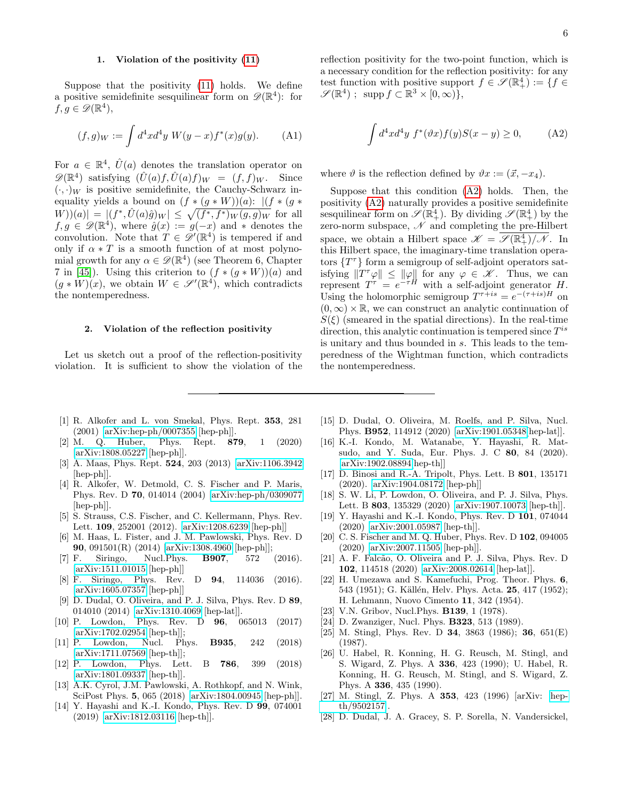# 1. Violation of the positivity [\(11\)](#page-2-1)

Suppose that the positivity [\(11\)](#page-2-1) holds. We define a positive semidefinite sesquilinear form on  $\mathscr{D}(\mathbb{R}^4)$ : for  $f, g \in \mathscr{D}(\mathbb{R}^4),$ 

$$
(f,g)_W := \int d^4x d^4y \ W(y-x) f^*(x) g(y). \tag{A1}
$$

For  $a \in \mathbb{R}^4$ ,  $\hat{U}(a)$  denotes the translation operator on  $\mathscr{D}(\mathbb{R}^4)$  satisfying  $(\hat{U}(a)f, \hat{U}(a)f)_W = (f, f)_W$ . Since  $(\cdot, \cdot)_W$  is positive semidefinite, the Cauchy-Schwarz inequality yields a bound on  $(f * (g * W))(a)$ :  $|(f * (g *$  $|W|(|W|)(a)| = |(f^*, \hat{U}(a)\hat{g})_W| \leq \sqrt{(f^*, f^*)_W(g, g)_W}$  for all  $f, g \in \mathscr{D}(\mathbb{R}^4)$ , where  $\hat{g}(x) := g(-x)$  and \* denotes the convolution. Note that  $T \in \mathscr{D}'(\mathbb{R}^4)$  is tempered if and only if  $\alpha * T$  is a smooth function of at most polynomial growth for any  $\alpha \in \mathscr{D}(\mathbb{R}^4)$  (see Theorem 6, Chapter 7 in [\[45\]](#page-6-16)). Using this criterion to  $(f * (g * W))(a)$  and  $(g * \dot{W})(x)$ , we obtain  $W \in \mathscr{S}'(\mathbb{R}^4)$ , which contradicts the nontemperedness.

## 2. Violation of the reflection positivity

Let us sketch out a proof of the reflection-positivity violation. It is sufficient to show the violation of the reflection positivity for the two-point function, which is a necessary condition for the reflection positivity: for any test function with positive support  $f \in \mathscr{S}(\mathbb{R}^4_+) := \{f \in$  $\mathscr{S}(\mathbb{R}^4)$ ; supp  $f \subset \mathbb{R}^3 \times [0,\infty)$ ,

<span id="page-5-16"></span>
$$
\int d^4x d^4y f^*(\vartheta x) f(y) S(x - y) \ge 0,
$$
 (A2)

where  $\vartheta$  is the reflection defined by  $\vartheta x := (\vec{x}, -x_4)$ .

Suppose that this condition [\(A2\)](#page-5-16) holds. Then, the positivity [\(A2\)](#page-5-16) naturally provides a positive semidefinite sesquilinear form on  $\mathscr{S}(\mathbb{R}^4_+)$ . By dividing  $\mathscr{S}(\mathbb{R}^4_+)$  by the zero-norm subspace,  $\mathscr N$  and completing the pre-Hilbert space, we obtain a Hilbert space  $\mathscr{K} = \overline{\mathscr{S}(\mathbb{R}^4_+)/\mathscr{N}}$ . In this Hilbert space, the imaginary-time translation operators  $\{T^{\tau}\}\$ form a semigroup of self-adjoint operators satisfying  $||T^{\tau}\varphi|| \leq ||\varphi||$  for any  $\varphi \in \mathscr{K}$ . Thus, we can represent  $T^{\tau} = e^{-\tau H}$  with a self-adjoint generator H. Using the holomorphic semigroup  $T^{\tau+is} = e^{-(\tau+is)H}$  on  $(0, \infty) \times \mathbb{R}$ , we can construct an analytic continuation of  $S(\xi)$  (smeared in the spatial directions). In the real-time direction, this analytic continuation is tempered since  $T^{is}$ is unitary and thus bounded in s. This leads to the temperedness of the Wightman function, which contradicts the nontemperedness.

- <span id="page-5-0"></span>[1] R. Alkofer and L. von Smekal, Phys. Rept. 353, 281 (2001) [\[arXiv:hep-ph/0007355](http://arxiv.org/abs/hep-ph/0007355) [hep-ph]].
- [2] M. Q. Huber, Phys. Rept. 879, 1 (2020) [\[arXiv:1808.05227](http://arxiv.org/abs/1808.05227) [hep-ph]].
- <span id="page-5-1"></span>[3] A. Maas, Phys. Rept. 524, 203 (2013) [\[arXiv:1106.3942](http://arxiv.org/abs/1106.3942) [hep-ph]].
- <span id="page-5-2"></span>[4] R. Alkofer, W. Detmold, C. S. Fischer and P. Maris, Phys. Rev. D 70, 014014 (2004) [\[arXiv:hep-ph/0309077](http://arxiv.org/abs/hep-ph/0309077) [hep-ph]].
- <span id="page-5-12"></span>[5] S. Strauss, C.S. Fischer, and C. Kellermann, Phys. Rev. Lett. 109, 252001 (2012). [\[arXiv:1208.6239](http://arxiv.org/abs/1208.6239) [hep-ph]]
- [6] M. Haas, L. Fister, and J. M. Pawlowski, Phys. Rev. D 90, 091501(R) (2014) [\[arXiv:1308.4960](http://arxiv.org/abs/1308.4960) [hep-ph]];
- <span id="page-5-8"></span>[7] F. Siringo, Nucl.Phys. B907, 572 (2016). [\[arXiv:1511.01015](http://arxiv.org/abs/1511.01015) [hep-ph]]
- <span id="page-5-9"></span>[8] F. Siringo, Phys. Rev. D 94, 114036 (2016). [\[arXiv:1605.07357](http://arxiv.org/abs/1605.07357) [hep-ph]]
- [9] D. Dudal, O. Oliveira, and P. J. Silva, Phys. Rev. D 89, 014010 (2014) [\[arXiv:1310.4069](http://arxiv.org/abs/1310.4069) [hep-lat]].
- [10] P. Lowdon, Phys. Rev. D 96, 065013 (2017) [\[arXiv:1702.02954](http://arxiv.org/abs/1702.02954) [hep-th]];
- [11] P. Lowdon, Nucl. Phys. B935, 242 (2018) [\[arXiv:1711.07569](http://arxiv.org/abs/1711.07569) [hep-th]];
- [12] P. Lowdon, Phys. Lett. B 786, 399 (2018) [\[arXiv:1801.09337](http://arxiv.org/abs/1801.09337) [hep-th]].
- [13] A.K. Cyrol, J.M. Pawlowski, A. Rothkopf, and N. Wink, SciPost Phys. 5, 065 (2018) [\[arXiv:1804.00945](http://arxiv.org/abs/1804.00945) [hep-ph]].
- <span id="page-5-10"></span>[14] Y. Hayashi and K.-I. Kondo, Phys. Rev. D 99, 074001 (2019) [\[arXiv:1812.03116](http://arxiv.org/abs/1812.03116) [hep-th]].
- [15] D. Dudal, O. Oliveira, M. Roelfs, and P. Silva, Nucl. Phys. B952, 114912 (2020) [\[arXiv:1901.05348\[](http://arxiv.org/abs/1901.05348)hep-lat]].
- [16] K.-I. Kondo, M. Watanabe, Y. Hayashi, R. Matsudo, and Y. Suda, Eur. Phys. J. C 80, 84 (2020). [\[arXiv:1902.08894\[](http://arxiv.org/abs/1902.08894)hep-th]]
- <span id="page-5-7"></span>[17] D. Binosi and R.-A. Tripolt, Phys. Lett. B 801, 135171 (2020). [\[arXiv:1904.08172](http://arxiv.org/abs/1904.08172) [hep-ph]]
- [18] S. W. Li, P. Lowdon, O. Oliveira, and P. J. Silva, Phys. Lett. B 803, 135329 (2020) [\[arXiv:1907.10073](http://arxiv.org/abs/1907.10073) [hep-th]].
- <span id="page-5-11"></span>[19] Y. Hayashi and K.-I. Kondo, Phys. Rev. D 101, 074044 (2020) [\[arXiv:2001.05987](http://arxiv.org/abs/2001.05987) [hep-th]].
- <span id="page-5-13"></span>[20] C. S. Fischer and M. Q. Huber, Phys. Rev. D 102, 094005 (2020) [\[arXiv:2007.11505](http://arxiv.org/abs/2007.11505) [hep-ph]].
- <span id="page-5-3"></span>[21] A. F. Falcão, O. Oliveira and P. J. Silva, Phys. Rev. D 102, 114518 (2020) [\[arXiv:2008.02614](http://arxiv.org/abs/2008.02614) [hep-lat]].
- <span id="page-5-4"></span>[22] H. Umezawa and S. Kamefuchi, Prog. Theor. Phys. 6, 543 (1951); G. Källén, Helv. Phys. Acta. 25, 417 (1952); H. Lehmann, Nuovo Cimento 11, 342 (1954).
- <span id="page-5-5"></span>[23] V.N. Gribov, Nucl.Phys. **B139**, 1 (1978).
- [24] D. Zwanziger, Nucl. Phys. **B323**, 513 (1989).
- <span id="page-5-14"></span>[25] M. Stingl, Phys. Rev. D 34, 3863 (1986); 36, 651(E) (1987).
- [26] U. Habel, R. Konning, H. G. Reusch, M. Stingl, and S. Wigard, Z. Phys. A 336, 423 (1990); U. Habel, R. Konning, H. G. Reusch, M. Stingl, and S. Wigard, Z. Phys. A 336, 435 (1990).
- <span id="page-5-15"></span>[27] M. Stingl, Z. Phys. A 353, 423 (1996) [arXiv: [hep](http://arxiv.org/abs/hep-th/9502157)[th/9502157\]](http://arxiv.org/abs/hep-th/9502157).
- <span id="page-5-6"></span>[28] D. Dudal, J. A. Gracey, S. P. Sorella, N. Vandersickel,